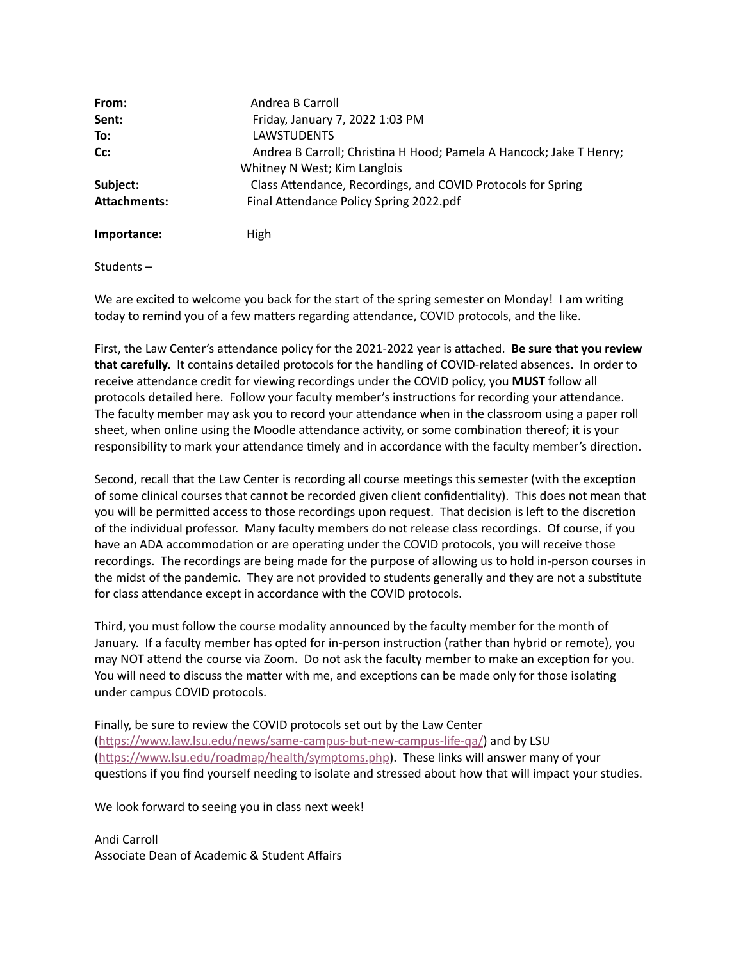| From:               | Andrea B Carroll                                                    |
|---------------------|---------------------------------------------------------------------|
| Sent:               | Friday, January 7, 2022 1:03 PM                                     |
| To:                 | <b>LAWSTUDENTS</b>                                                  |
| Cc:                 | Andrea B Carroll; Christina H Hood; Pamela A Hancock; Jake T Henry; |
|                     | Whitney N West; Kim Langlois                                        |
| Subject:            | Class Attendance, Recordings, and COVID Protocols for Spring        |
| <b>Attachments:</b> | Final Attendance Policy Spring 2022.pdf                             |
| Importance:         | High                                                                |

Students –

We are excited to welcome you back for the start of the spring semester on Monday! I am writing today to remind you of a few matters regarding attendance, COVID protocols, and the like.

First, the Law Center's attendance policy for the 2021-2022 year is attached. **Be sure that you review that carefully.** It contains detailed protocols for the handling of COVID-related absences. In order to receive attendance credit for viewing recordings under the COVID policy, you **MUST** follow all protocols detailed here. Follow your faculty member's instructions for recording your attendance. The faculty member may ask you to record your attendance when in the classroom using a paper roll sheet, when online using the Moodle attendance activity, or some combination thereof; it is your responsibility to mark your attendance timely and in accordance with the faculty member's direction.

Second, recall that the Law Center is recording all course meetings this semester (with the exception of some clinical courses that cannot be recorded given client confidentiality). This does not mean that you will be permitted access to those recordings upon request. That decision is left to the discretion of the individual professor. Many faculty members do not release class recordings. Of course, if you have an ADA accommodation or are operating under the COVID protocols, you will receive those recordings. The recordings are being made for the purpose of allowing us to hold in-person courses in the midst of the pandemic. They are not provided to students generally and they are not a substitute for class attendance except in accordance with the COVID protocols.

Third, you must follow the course modality announced by the faculty member for the month of January. If a faculty member has opted for in-person instruction (rather than hybrid or remote), you may NOT attend the course via Zoom. Do not ask the faculty member to make an exception for you. You will need to discuss the matter with me, and exceptions can be made only for those isolating under campus COVID protocols.

Finally, be sure to review the COVID protocols set out by the Law Center [\(https://www.law.lsu.edu/news/same-campus-but-new-campus-life-qa/](https://www.law.lsu.edu/news/same-campus-but-new-campus-life-qa/)) and by LSU [\(https://www.lsu.edu/roadmap/health/symptoms.php](https://www.lsu.edu/roadmap/health/symptoms.php)). These links will answer many of your questions if you find yourself needing to isolate and stressed about how that will impact your studies.

We look forward to seeing you in class next week!

Andi Carroll Associate Dean of Academic & Student Affairs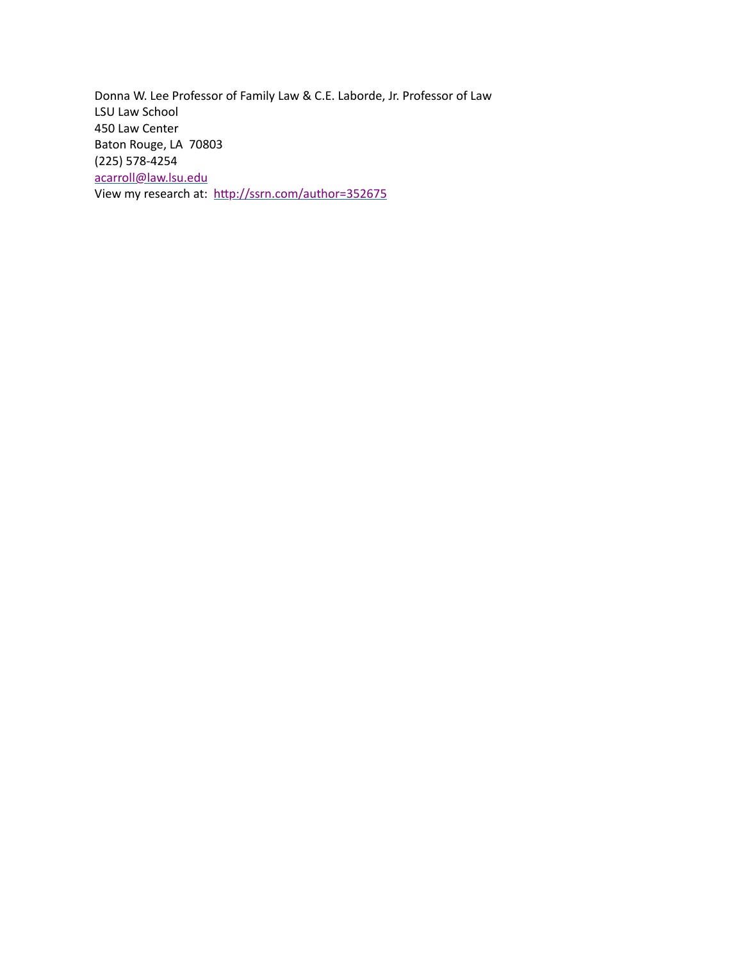Donna W. Lee Professor of Family Law & C.E. Laborde, Jr. Professor of Law LSU Law School 450 Law Center Baton Rouge, LA 70803 (225) 578-4254 [acarroll@law.lsu.edu](mailto:acarroll@law.lsu.edu) View my research at: [http://ssrn.com/author=352675](https://nam04.safelinks.protection.outlook.com/?url=http%3A%2F%2Fssrn.com%2Fauthor%3D352675&data=04%7C01%7Cchood1%40lsu.edu%7C16f7183e32f0407d7e1808d9d21055f5%7C2d4dad3f50ae47d983a09ae2b1f466f8%7C0%7C0%7C637771790126143332%7CUnknown%7CTWFpbGZsb3d8eyJWIjoiMC4wLjAwMDAiLCJQIjoiV2luMzIiLCJBTiI6Ik1haWwiLCJXVCI6Mn0%3D%7C3000&sdata=plNBzY%2BaUTSoKo%2FTKazhfyk2yoJNCMTGQxVUgccECkk%3D&reserved=0)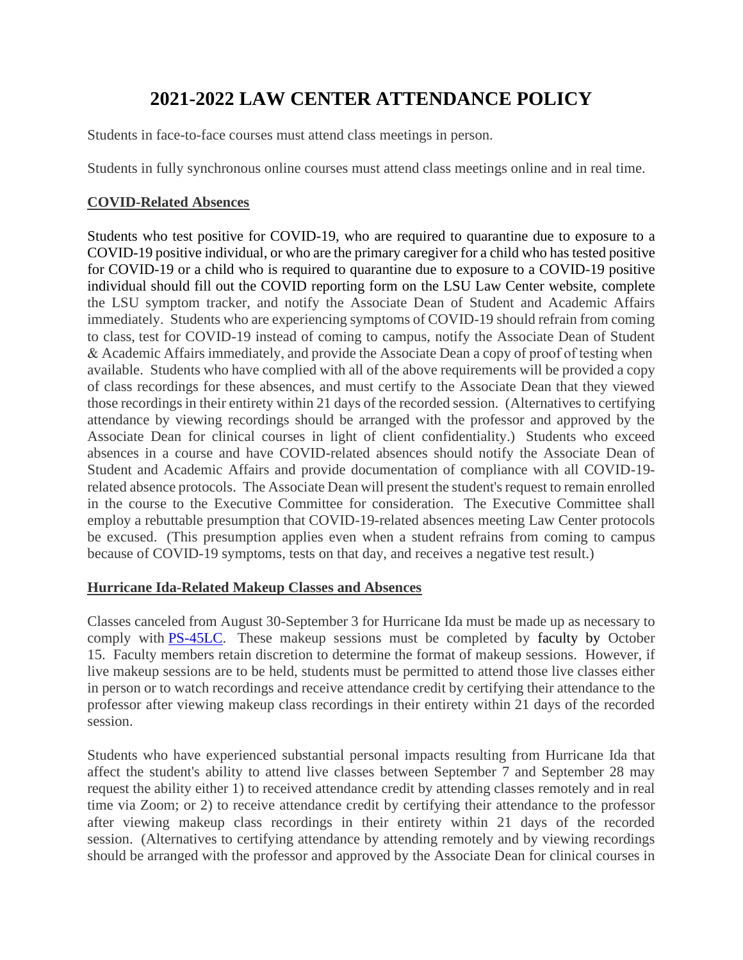# **2021-2022 LAW CENTER ATTENDANCE POLICY**

Students in face-to-face courses must attend class meetings in person.

Students in fully synchronous online courses must attend class meetings online and in real time.

### **COVID-Related Absences**

Students who test positive for COVID-19, who are required to quarantine due to exposure to a COVID-19 positive individual, or who are the primary caregiver for a child who has tested positive for COVID-19 or a child who is required to quarantine due to exposure to a COVID-19 positive individual should fill out the COVID reporting form on the LSU Law Center website, complete the LSU symptom tracker, and notify the Associate Dean of Student and Academic Affairs immediately. Students who are experiencing symptoms of COVID-19 should refrain from coming to class, test for COVID-19 instead of coming to campus, notify the Associate Dean of Student & Academic Affairs immediately, and provide the Associate Dean a copy of proof of testing when available. Students who have complied with all of the above requirements will be provided a copy of class recordings for these absences, and must certify to the Associate Dean that they viewed those recordings in their entirety within 21 days of the recorded session. (Alternatives to certifying attendance by viewing recordings should be arranged with the professor and approved by the Associate Dean for clinical courses in light of client confidentiality.) Students who exceed absences in a course and have COVID-related absences should notify the Associate Dean of Student and Academic Affairs and provide documentation of compliance with all COVID-19 related absence protocols. The Associate Dean will present the student's request to remain enrolled in the course to the Executive Committee for consideration. The Executive Committee shall employ a rebuttable presumption that COVID-19-related absences meeting Law Center protocols be excused. (This presumption applies even when a student refrains from coming to campus because of COVID-19 symptoms, tests on that day, and receives a negative test result.)

### **Hurricane Ida-Related Makeup Classes and Absences**

Classes canceled from August 30-September 3 for Hurricane Ida must be made up as necessary to comply with [PS-45LC.](https://www.law.lsu.edu/hrm/files/2013/04/PS45LCCreditHourPolicyStatement-20170120.pdf) These makeup sessions must be completed by faculty by October 15. Faculty members retain discretion to determine the format of makeup sessions. However, if live makeup sessions are to be held, students must be permitted to attend those live classes either in person or to watch recordings and receive attendance credit by certifying their attendance to the professor after viewing makeup class recordings in their entirety within 21 days of the recorded session.

Students who have experienced substantial personal impacts resulting from Hurricane Ida that affect the student's ability to attend live classes between September 7 and September 28 may request the ability either 1) to received attendance credit by attending classes remotely and in real time via Zoom; or 2) to receive attendance credit by certifying their attendance to the professor after viewing makeup class recordings in their entirety within 21 days of the recorded session. (Alternatives to certifying attendance by attending remotely and by viewing recordings should be arranged with the professor and approved by the Associate Dean for clinical courses in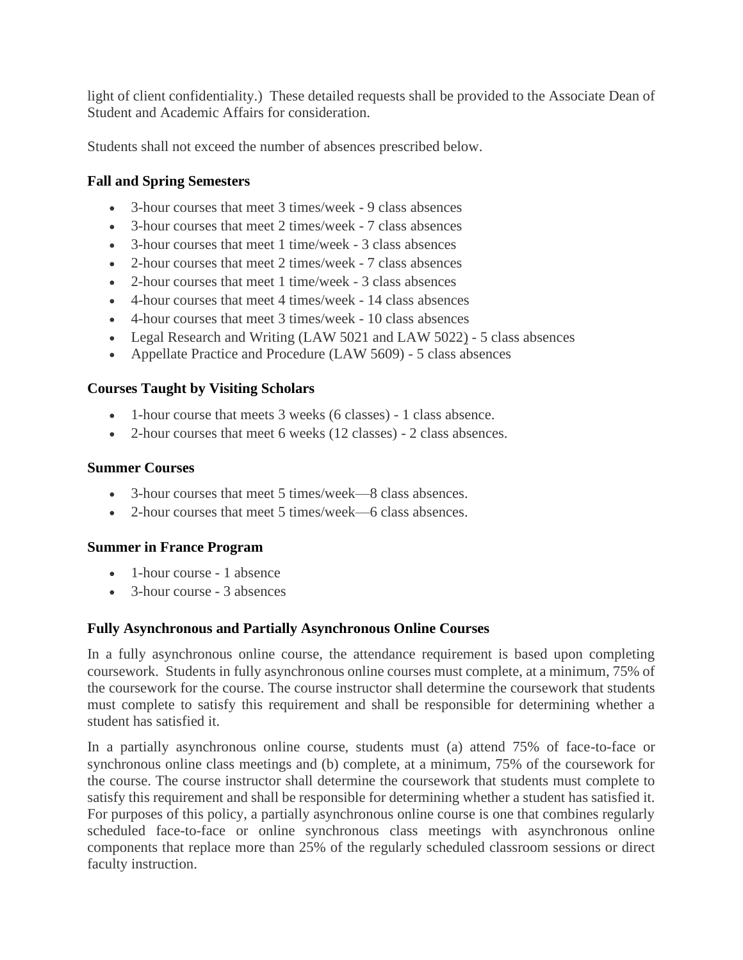light of client confidentiality.) These detailed requests shall be provided to the Associate Dean of Student and Academic Affairs for consideration.

Students shall not exceed the number of absences prescribed below.

### **Fall and Spring Semesters**

- 3-hour courses that meet 3 times/week 9 class absences
- 3-hour courses that meet 2 times/week 7 class absences
- 3-hour courses that meet 1 time/week 3 class absences
- 2-hour courses that meet 2 times/week 7 class absences
- 2-hour courses that meet 1 time/week 3 class absences
- 4-hour courses that meet 4 times/week 14 class absences
- 4-hour courses that meet 3 times/week 10 class absences
- Legal Research and Writing (LAW 5021 and LAW 5022) 5 class absences
- Appellate Practice and Procedure (LAW 5609) 5 class absences

### **Courses Taught by Visiting Scholars**

- 1-hour course that meets 3 weeks (6 classes) 1 class absence.
- 2-hour courses that meet 6 weeks (12 classes) 2 class absences.

#### **Summer Courses**

- 3-hour courses that meet 5 times/week—8 class absences.
- 2-hour courses that meet 5 times/week—6 class absences.

### **Summer in France Program**

- 1-hour course 1 absence
- 3-hour course 3 absences

### **Fully Asynchronous and Partially Asynchronous Online Courses**

In a fully asynchronous online course, the attendance requirement is based upon completing coursework. Students in fully asynchronous online courses must complete, at a minimum, 75% of the coursework for the course. The course instructor shall determine the coursework that students must complete to satisfy this requirement and shall be responsible for determining whether a student has satisfied it.

In a partially asynchronous online course, students must (a) attend 75% of face-to-face or synchronous online class meetings and (b) complete, at a minimum, 75% of the coursework for the course. The course instructor shall determine the coursework that students must complete to satisfy this requirement and shall be responsible for determining whether a student has satisfied it. For purposes of this policy, a partially asynchronous online course is one that combines regularly scheduled face-to-face or online synchronous class meetings with asynchronous online components that replace more than 25% of the regularly scheduled classroom sessions or direct faculty instruction.